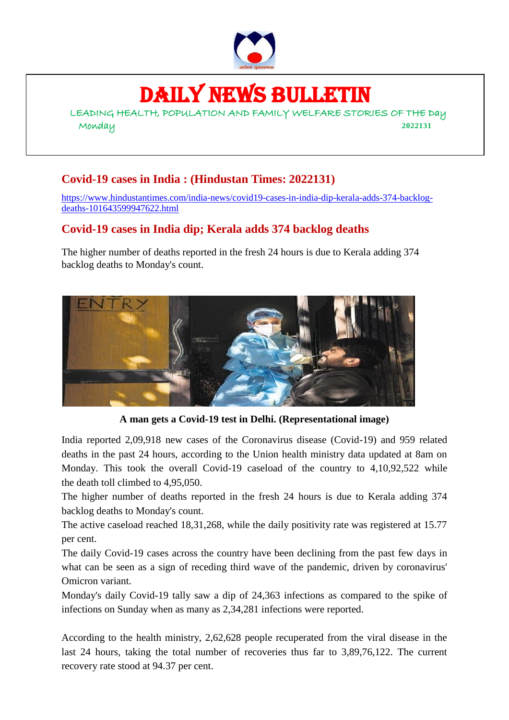

# DAILY NEWS BULLETIN

LEADING HEALTH, POPULATION AND FAMILY WELFARE STORIES OF THE Day Monday **2022131**

# **Covid-19 cases in India : (Hindustan Times: 2022131)**

[https://www.hindustantimes.com/india-news/covid19-cases-in-india-dip-kerala-adds-374-backlog](https://www.hindustantimes.com/india-news/covid19-cases-in-india-dip-kerala-adds-374-backlog-deaths-101643599947622.html)[deaths-101643599947622.html](https://www.hindustantimes.com/india-news/covid19-cases-in-india-dip-kerala-adds-374-backlog-deaths-101643599947622.html)

### **Covid-19 cases in India dip; Kerala adds 374 backlog deaths**

The higher number of deaths reported in the fresh 24 hours is due to Kerala adding 374 backlog deaths to Monday's count.



**A man gets a Covid-19 test in Delhi. (Representational image)**

India reported 2,09,918 new cases of the Coronavirus disease (Covid-19) and 959 related deaths in the past 24 hours, according to the Union health ministry data updated at 8am on Monday. This took the overall Covid-19 caseload of the country to 4,10,92,522 while the [death toll climbed](https://www.hindustantimes.com/cities/delhi-news/daily-cases-fall-to-3-674-as-test-positivity-rate-dips-below-65-101643574106432.html) to 4,95,050.

The higher number of deaths reported in the fresh 24 hours is due to Kerala adding 374 backlog deaths to Monday's count.

The active caseload reached 18,31,268, while the daily positivity rate was registered at 15.77 per cent.

The daily Covid-19 cases across the country have been declining from the past few days in what can be seen as a sign of receding third wave of the pandemic, driven by coronavirus' Omicron variant.

Monday's daily Covid-19 tally saw a dip of 24,363 infections as compared to the spike of infections on Sunday when as many as 2,34,281 infections were reported.

According to the health ministry, 2,62,628 people recuperated from the viral disease in the last 24 hours, taking the total number of recoveries thus far to 3,89,76,122. The current recovery rate stood at 94.37 per cent.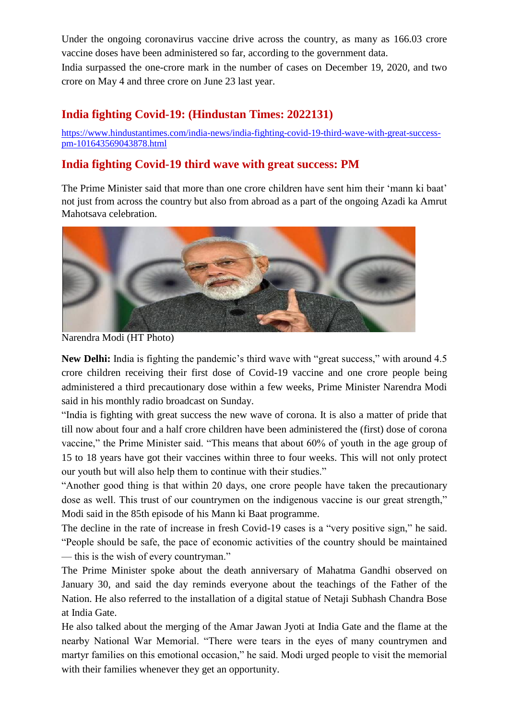Under the ongoing coronavirus vaccine drive across the country, as many as 166.03 crore vaccine doses have been administered so far, according to the government data.

India surpassed the one-crore mark in the number of cases on December 19, 2020, and two crore on May 4 and three crore on June 23 last year.

### **India fighting Covid-19: (Hindustan Times: 2022131)**

[https://www.hindustantimes.com/india-news/india-fighting-covid-19-third-wave-with-great-success](https://www.hindustantimes.com/india-news/india-fighting-covid-19-third-wave-with-great-success-pm-101643569043878.html)[pm-101643569043878.html](https://www.hindustantimes.com/india-news/india-fighting-covid-19-third-wave-with-great-success-pm-101643569043878.html)

### **India fighting Covid-19 third wave with great success: PM**

The Prime Minister said that more than one crore children have sent him their 'mann ki baat' not just from across the country but also from abroad as a part of the ongoing Azadi ka Amrut Mahotsava celebration.



Narendra Modi (HT Photo)

New Delhi: India is fighting the pandemic's third wave with "great success," with around 4.5 crore children receiving their first dose of Covid-19 vaccine and one crore people being administered a third precautionary dose within a few weeks, Prime Minister Narendra Modi said in his monthly radio broadcast on Sunday.

"India is fighting with great success the new wave of corona. It is also a matter of pride that till now about four and a half crore children have been administered the (first) dose of corona vaccine," the Prime Minister said. "This means that about 60% of youth in the age group of 15 to 18 years have got their vaccines within three to four weeks. This will not only protect our youth but will also help them to continue with their studies."

"Another good thing is that within 20 days, one crore people have taken the precautionary dose as well. This trust of our countrymen on the indigenous vaccine is our great strength," Modi said in the 85th episode of his Mann ki Baat programme.

The decline in the rate of increase in fresh Covid-19 cases is a "very positive sign," he said. "People should be safe, the pace of economic activities of the country should be maintained — this is the wish of every countryman."

The Prime Minister spoke about the death anniversary of Mahatma Gandhi observed on January 30, and said the day reminds everyone about the teachings of the Father of the Nation. He also referred to the installation of a digital statue of Netaji Subhash Chandra Bose at India Gate.

He also talked about the merging of the Amar Jawan Jyoti at India Gate and the flame at the nearby National War Memorial. "There were tears in the eyes of many countrymen and martyr families on this emotional occasion," he said. Modi urged people to visit the memorial with their families whenever they get an opportunity.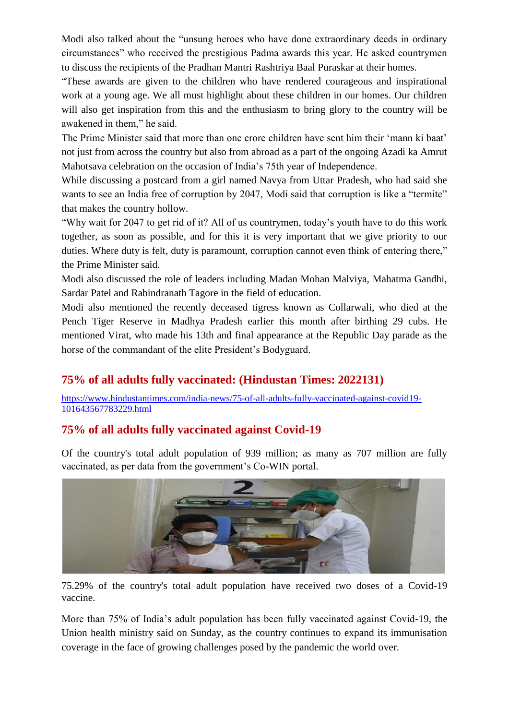Modi also talked about the "unsung heroes who have done extraordinary deeds in ordinary circumstances" who received the prestigious Padma awards this year. He asked countrymen to discuss the recipients of the Pradhan Mantri Rashtriya Baal Puraskar at their homes.

"These awards are given to the children who have rendered courageous and inspirational work at a young age. We all must highlight about these children in our homes. Our children will also get inspiration from this and the enthusiasm to bring glory to the country will be awakened in them," he said.

The Prime Minister said that more than one crore children have sent him their 'mann ki baat' not just from across the country but also from abroad as a part of the ongoing Azadi ka Amrut Mahotsava celebration on the occasion of India's 75th year of Independence.

While discussing a postcard from a girl named Navya from Uttar Pradesh, who had said she wants to see an India free of corruption by 2047, Modi said that corruption is like a "termite" that makes the country hollow.

"Why wait for 2047 to get rid of it? All of us countrymen, today's youth have to do this work together, as soon as possible, and for this it is very important that we give priority to our duties. Where duty is felt, duty is paramount, corruption cannot even think of entering there." the Prime Minister said.

Modi also discussed the role of leaders including Madan Mohan Malviya, Mahatma Gandhi, Sardar Patel and Rabindranath Tagore in the field of education.

Modi also mentioned the recently deceased tigress known as Collarwali, who died at the Pench Tiger Reserve in Madhya Pradesh earlier this month after birthing 29 cubs. He mentioned Virat, who made his 13th and final appearance at the Republic Day parade as the horse of the commandant of the elite President's Bodyguard.

### **75% of all adults fully vaccinated: (Hindustan Times: 2022131)**

[https://www.hindustantimes.com/india-news/75-of-all-adults-fully-vaccinated-against-covid19-](https://www.hindustantimes.com/india-news/75-of-all-adults-fully-vaccinated-against-covid19-101643567783229.html) [101643567783229.html](https://www.hindustantimes.com/india-news/75-of-all-adults-fully-vaccinated-against-covid19-101643567783229.html)

### **75% of all adults fully vaccinated against Covid-19**

Of the country's total adult population of 939 million; as many as 707 million are fully vaccinated, as per data from the government's Co-WIN portal.



75.29% of the country's total adult population have received two doses of a Covid-19 vaccine.

More than 75% of India's adult population has been fully vaccinated against Covid-19, the Union health ministry said on Sunday, as the country continues to expand its immunisation coverage in the face of growing challenges posed by the pandemic the world over.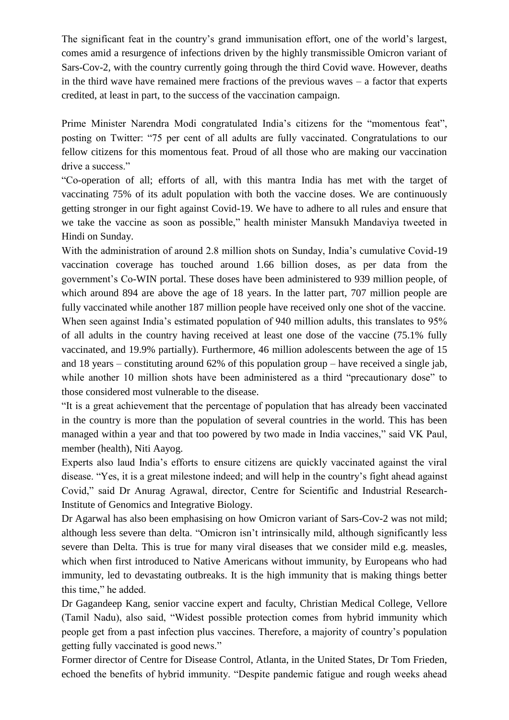The significant feat in the country's grand immunisation effort, one of the world's largest, comes amid a resurgence of infections driven by the highly transmissible Omicron variant of Sars-Cov-2, with the country currently going through the third Covid wave. However, deaths in the third wave have remained mere fractions of the previous waves – a factor that experts credited, at least in part, to the success of the vaccination campaign.

Prime Minister Narendra Modi congratulated India's citizens for the "momentous feat", posting on Twitter: "75 per cent of all adults are fully vaccinated. Congratulations to our fellow citizens for this momentous feat. Proud of all those who are making our vaccination drive a success."

"Co-operation of all; efforts of all, with this mantra India has met with the target of vaccinating 75% of its adult population with both the vaccine doses. We are continuously getting stronger in our fight against Covid-19. We have to adhere to all rules and ensure that we take the vaccine as soon as possible," health minister Mansukh Mandaviya tweeted in Hindi on Sunday.

With the administration of around 2.8 million shots on Sunday, India's cumulative Covid-19 vaccination coverage has touched around 1.66 billion doses, as per data from the government's Co-WIN portal. These doses have been administered to 939 million people, of which around 894 are above the age of 18 years. In the latter part, 707 million people are fully vaccinated while another 187 million people have received only one shot of the vaccine. When seen against India's estimated population of 940 million adults, this translates to 95% of all adults in the country having received at least one dose of the vaccine (75.1% fully vaccinated, and 19.9% partially). Furthermore, 46 million adolescents between the age of 15 and 18 years – constituting around 62% of this population group – have received a single jab, while another 10 million shots have been administered as a third "precautionary dose" to those considered most vulnerable to the disease.

"It is a great achievement that the percentage of population that has already been vaccinated in the country is more than the population of several countries in the world. This has been managed within a year and that too powered by two made in India vaccines," said VK Paul, member (health), Niti Aayog.

Experts also laud India's efforts to ensure citizens are quickly vaccinated against the viral disease. "Yes, it is a great milestone indeed; and will help in the country's fight ahead against Covid," said Dr Anurag Agrawal, director, Centre for Scientific and Industrial Research-Institute of Genomics and Integrative Biology.

Dr Agarwal has also been emphasising on how Omicron variant of Sars-Cov-2 was not mild; although less severe than delta. "Omicron isn't intrinsically mild, although significantly less severe than Delta. This is true for many viral diseases that we consider mild e.g. measles, which when first introduced to Native Americans without immunity, by Europeans who had immunity, led to devastating outbreaks. It is the high immunity that is making things better this time," he added.

Dr Gagandeep Kang, senior vaccine expert and faculty, Christian Medical College, Vellore (Tamil Nadu), also said, "Widest possible protection comes from hybrid immunity which people get from a past infection plus vaccines. Therefore, a majority of country's population getting fully vaccinated is good news."

Former director of Centre for Disease Control, Atlanta, in the United States, Dr Tom Frieden, echoed the benefits of hybrid immunity. "Despite pandemic fatigue and rough weeks ahead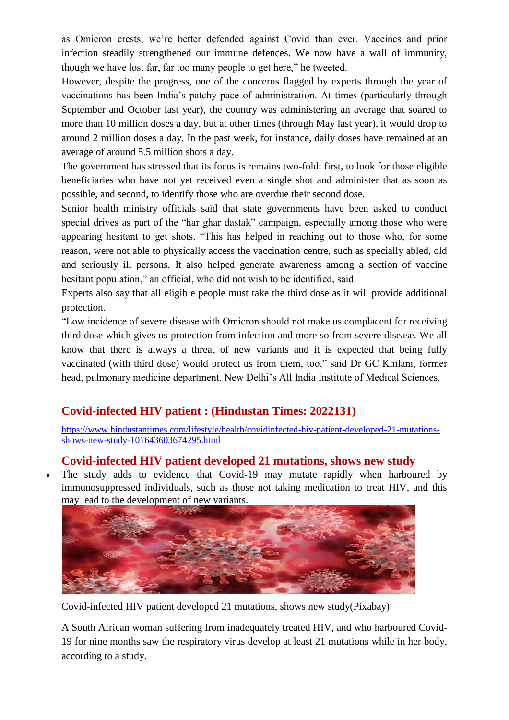as Omicron crests, we're better defended against Covid than ever. Vaccines and prior infection steadily strengthened our immune defences. We now have a wall of immunity, though we have lost far, far too many people to get here," he tweeted.

However, despite the progress, one of the concerns flagged by experts through the year of vaccinations has been India's patchy pace of administration. At times (particularly through September and October last year), the country was administering an average that soared to more than 10 million doses a day, but at other times (through May last year), it would drop to around 2 million doses a day. In the past week, for instance, daily doses have remained at an average of around 5.5 million shots a day.

The government has stressed that its focus is remains two-fold: first, to look for those eligible beneficiaries who have not yet received even a single shot and administer that as soon as possible, and second, to identify those who are overdue their second dose.

Senior health ministry officials said that state governments have been asked to conduct special drives as part of the "har ghar dastak" campaign, especially among those who were appearing hesitant to get shots. "This has helped in reaching out to those who, for some reason, were not able to physically access the vaccination centre, such as specially abled, old and seriously ill persons. It also helped generate awareness among a section of vaccine hesitant population," an official, who did not wish to be identified, said.

Experts also say that all eligible people must take the third dose as it will provide additional protection.

"Low incidence of severe disease with Omicron should not make us complacent for receiving third dose which gives us protection from infection and more so from severe disease. We all know that there is always a threat of new variants and it is expected that being fully vaccinated (with third dose) would protect us from them, too," said Dr GC Khilani, former head, pulmonary medicine department, New Delhi's All India Institute of Medical Sciences.

### **Covid-infected HIV patient : (Hindustan Times: 2022131)**

[https://www.hindustantimes.com/lifestyle/health/covidinfected-hiv-patient-developed-21-mutations](https://www.hindustantimes.com/lifestyle/health/covidinfected-hiv-patient-developed-21-mutations-shows-new-study-101643603674295.html)[shows-new-study-101643603674295.html](https://www.hindustantimes.com/lifestyle/health/covidinfected-hiv-patient-developed-21-mutations-shows-new-study-101643603674295.html)

#### **Covid-infected HIV patient developed 21 mutations, shows new study**

 The study adds to evidence that Covid-19 may mutate rapidly when harboured by immunosuppressed individuals, such as those not taking medication to treat HIV, and this may lead to the development of new variants.



Covid-infected HIV patient developed 21 mutations, shows new study(Pixabay)

A South African woman suffering from inadequately treated HIV, and who harboured Covid-19 for nine months saw the respiratory virus develop at least 21 mutations while in her body, according to a study.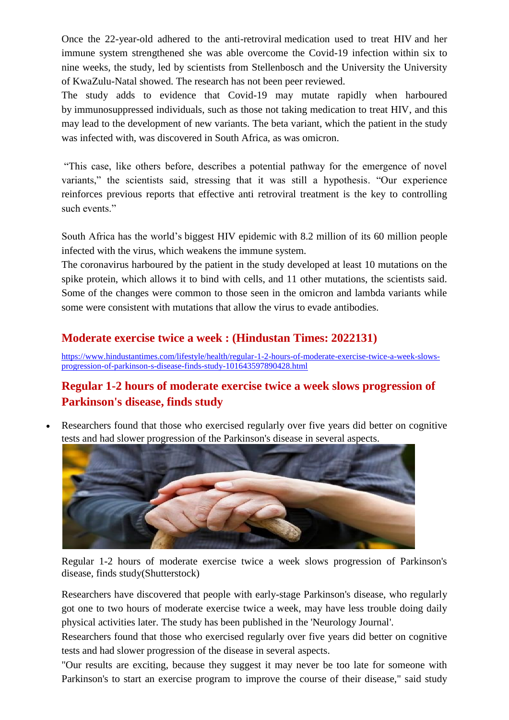Once the 22-year-old adhered to the anti-retroviral [medication used to treat HIV](https://www.hindustantimes.com/lifestyle/health/these-are-the-key-issues-affecting-hiv-patients-as-per-a-study-101641805277999.html) and her immune system strengthened she was able overcome the Covid-19 infection within six to nine weeks, the study, led by scientists from Stellenbosch and the University the University of KwaZulu-Natal showed. The research has not been peer reviewed.

The study adds to evidence that Covid-19 may mutate rapidly when harboured by [immunosuppressed individuals, such as those not taking medication to treat HIV,](https://www.hindustantimes.com/lifestyle/health/hiv-patients-are-at-higher-risk-of-cardiac-arrest-study-101639972076356.html) and this may lead to the development of new variants. The beta variant, which the patient in the study was infected with, was discovered in South Africa, as was omicron.

"This case, like others before, describes a potential pathway for the emergence of novel variants," the scientists said, stressing that it was still a hypothesis. "Our experience reinforces previous reports that effective anti retroviral treatment is the key to controlling such events."

South Africa has the world's [biggest HIV epidemic](https://www.hindustantimes.com/lifestyle/health/understanding-impact-of-shame-on-hiv-patients-may-improve-healthcare-study-101639223499930.html) with 8.2 million of its 60 million people infected with the virus, which weakens the immune system.

The coronavirus harboured by the patient in the study developed at least 10 mutations on the spike protein, which allows it to bind with cells, and 11 other mutations, the scientists said. Some of the changes were common to those seen in the omicron and lambda variants while some were consistent with mutations that allow the virus to evade antibodies.

### **Moderate exercise twice a week : (Hindustan Times: 2022131)**

[https://www.hindustantimes.com/lifestyle/health/regular-1-2-hours-of-moderate-exercise-twice-a-week-slows](https://www.hindustantimes.com/lifestyle/health/regular-1-2-hours-of-moderate-exercise-twice-a-week-slows-progression-of-parkinson-s-disease-finds-study-101643597890428.html)[progression-of-parkinson-s-disease-finds-study-101643597890428.html](https://www.hindustantimes.com/lifestyle/health/regular-1-2-hours-of-moderate-exercise-twice-a-week-slows-progression-of-parkinson-s-disease-finds-study-101643597890428.html)

### **Regular 1-2 hours of moderate exercise twice a week slows progression of Parkinson's disease, finds study**

 Researchers found that those who exercised regularly over five years did better on cognitive tests and had slower progression of the Parkinson's disease in several aspects.



Regular 1-2 hours of moderate exercise twice a week slows progression of Parkinson's disease, finds study(Shutterstock)

Researchers have discovered that people with early-stage Parkinson's disease, who regularly got one to two hours of moderate exercise twice a week, may have less trouble doing daily physical activities later. The study has been published in the 'Neurology Journal'.

Researchers found that those who exercised regularly over five years did better on cognitive tests and had slower progression of the disease in several aspects.

"Our results are exciting, because they suggest it may never be too late for someone with Parkinson's to start an exercise program to improve the course of their disease," said study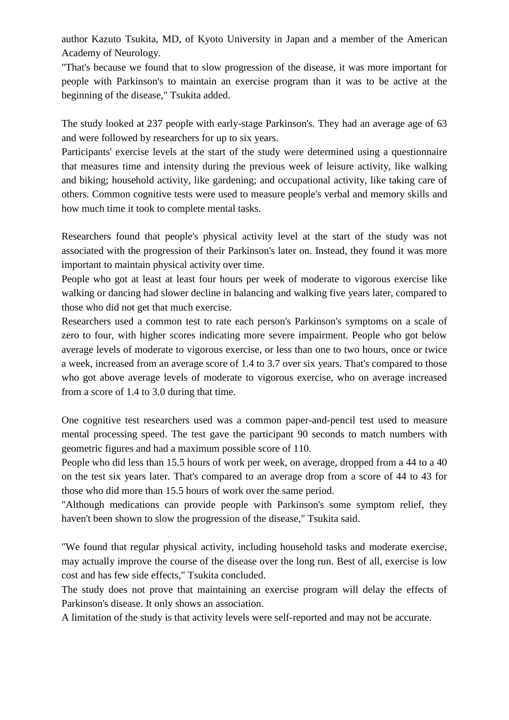author Kazuto Tsukita, MD, of Kyoto University in Japan and a member of the American Academy of Neurology.

"That's because we found that to slow progression of the disease, it was more important for people with Parkinson's to maintain an exercise program than it was to be active at the beginning of the disease," Tsukita added.

The study looked at 237 people with early-stage Parkinson's. They had an average age of 63 and were followed by researchers for up to six years.

Participants' exercise levels at the start of the study were determined using a questionnaire that measures time and intensity during the previous week of leisure activity, like walking and biking; household activity, like gardening; and occupational activity, like taking care of others. Common cognitive tests were used to measure people's verbal and memory skills and how much time it took to complete mental tasks.

Researchers found that people's physical activity level at the start of the study was not associated with the progression of their Parkinson's later on. Instead, they found it was more important to maintain physical activity over time.

People who got at least at least four hours per week of moderate to vigorous exercise like walking or dancing had slower decline in balancing and walking five years later, compared to those who did not get that much exercise.

Researchers used a common test to rate each person's Parkinson's symptoms on a scale of zero to four, with higher scores indicating more severe impairment. People who got below average levels of moderate to vigorous exercise, or less than one to two hours, once or twice a week, increased from an average score of 1.4 to 3.7 over six years. That's compared to those who got above average levels of moderate to vigorous exercise, who on average increased from a score of 1.4 to 3.0 during that time.

One cognitive test researchers used was a common paper-and-pencil test used to measure mental processing speed. The test gave the participant 90 seconds to match numbers with geometric figures and had a maximum possible score of 110.

People who did less than 15.5 hours of work per week, on average, dropped from a 44 to a 40 on the test six years later. That's compared to an average drop from a score of 44 to 43 for those who did more than 15.5 hours of work over the same period.

"Although medications can provide people with Parkinson's some symptom relief, they haven't been shown to slow the progression of the disease," Tsukita said.

"We found that regular physical activity, including household tasks and moderate exercise, may actually improve the course of the disease over the long run. Best of all, exercise is low cost and has few side effects," Tsukita concluded.

The study does not prove that maintaining an exercise program will delay the effects of Parkinson's disease. It only shows an association.

A limitation of the study is that activity levels were self-reported and may not be accurate.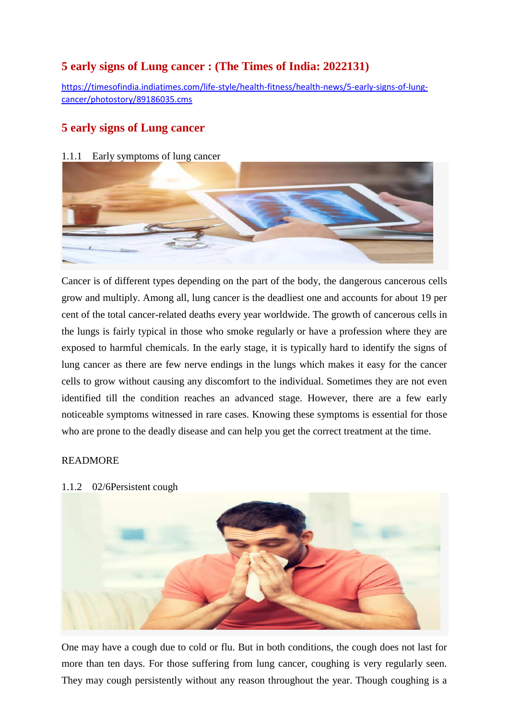### **5 early signs of Lung cancer : (The Times of India: 2022131)**

[https://timesofindia.indiatimes.com/life-style/health-fitness/health-news/5-early-signs-of-lung](https://timesofindia.indiatimes.com/life-style/health-fitness/health-news/5-early-signs-of-lung-cancer/photostory/89186035.cms)[cancer/photostory/89186035.cms](https://timesofindia.indiatimes.com/life-style/health-fitness/health-news/5-early-signs-of-lung-cancer/photostory/89186035.cms)

### **5 early signs of Lung cancer**

#### 1.1.1 Early symptoms of lung cancer



Cancer is of different types depending on the part of the body, the dangerous cancerous cells grow and multiply. Among all, lung cancer is the deadliest one and accounts for about 19 per cent of the total cancer-related deaths every year worldwide. The growth of cancerous cells in the lungs is fairly typical in those who smoke regularly or have a profession where they are exposed to harmful chemicals. In the early stage, it is typically hard to identify the signs of lung cancer as there are few nerve endings in the lungs which makes it easy for the cancer cells to grow without causing any discomfort to the individual. Sometimes they are not even identified till the condition reaches an advanced stage. However, there are a few early noticeable symptoms witnessed in rare cases. Knowing these symptoms is essential for those who are prone to the deadly disease and can help you get the correct treatment at the time.

#### [READMORE](javascript://)

1.1.2 02/6Persistent cough



One may have a cough due to cold or flu. But in both conditions, the cough does not last for more than ten days. For those suffering from lung cancer, coughing is very regularly seen. They may cough persistently without any reason throughout the year. Though coughing is a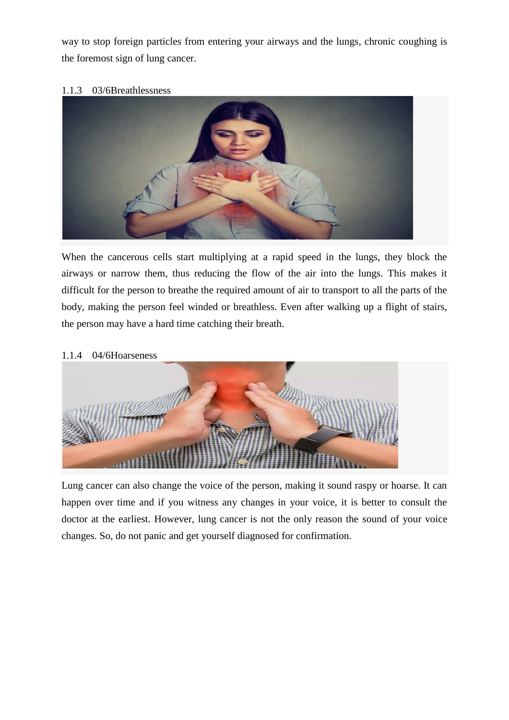way to stop foreign particles from entering your airways and the lungs, chronic coughing is the foremost sign of lung cancer.

#### 1.1.3 03/6Breathlessness



When the cancerous cells start multiplying at a rapid speed in the lungs, they block the airways or narrow them, thus reducing the flow of the air into the lungs. This makes it difficult for the person to breathe the required amount of air to transport to all the parts of the body, making the person feel winded or breathless. Even after walking up a flight of stairs, the person may have a hard time catching their breath.

#### 1.1.4 04/6Hoarseness



Lung cancer can also change the voice of the person, making it sound raspy or hoarse. It can happen over time and if you witness any changes in your voice, it is better to consult the doctor at the earliest. However, lung cancer is not the only reason the sound of your voice changes. So, do not panic and get yourself diagnosed for confirmation.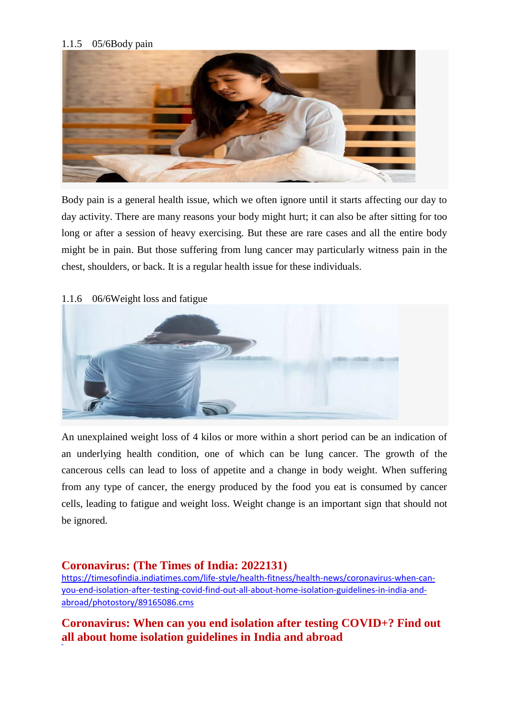#### 1.1.5 05/6Body pain



Body pain is a general health issue, which we often ignore until it starts affecting our day to day activity. There are many reasons your body might hurt; it can also be after sitting for too long or after a session of heavy exercising. But these are rare cases and all the entire body might be in pain. But those suffering from lung cancer may particularly witness pain in the chest, shoulders, or back. It is a regular health issue for these individuals.



#### 1.1.6 06/6Weight loss and fatigue

An unexplained weight loss of 4 kilos or more within a short period can be an indication of an underlying health condition, one of which can be lung cancer. The growth of the cancerous cells can lead to loss of appetite and a change in body weight. When suffering from any type of cancer, the energy produced by the food you eat is consumed by cancer cells, leading to fatigue and weight loss. Weight change is an important sign that should not be ignored.

#### **Coronavirus: (The Times of India: 2022131)**

[https://timesofindia.indiatimes.com/life-style/health-fitness/health-news/coronavirus-when-can](https://timesofindia.indiatimes.com/life-style/health-fitness/health-news/coronavirus-when-can-you-end-isolation-after-testing-covid-find-out-all-about-home-isolation-guidelines-in-india-and-abroad/photostory/89165086.cms)[you-end-isolation-after-testing-covid-find-out-all-about-home-isolation-guidelines-in-india-and](https://timesofindia.indiatimes.com/life-style/health-fitness/health-news/coronavirus-when-can-you-end-isolation-after-testing-covid-find-out-all-about-home-isolation-guidelines-in-india-and-abroad/photostory/89165086.cms)[abroad/photostory/89165086.cms](https://timesofindia.indiatimes.com/life-style/health-fitness/health-news/coronavirus-when-can-you-end-isolation-after-testing-covid-find-out-all-about-home-isolation-guidelines-in-india-and-abroad/photostory/89165086.cms)

### **Coronavirus: When can you end isolation after testing COVID+? Find out all about home isolation guidelines in India and abroad**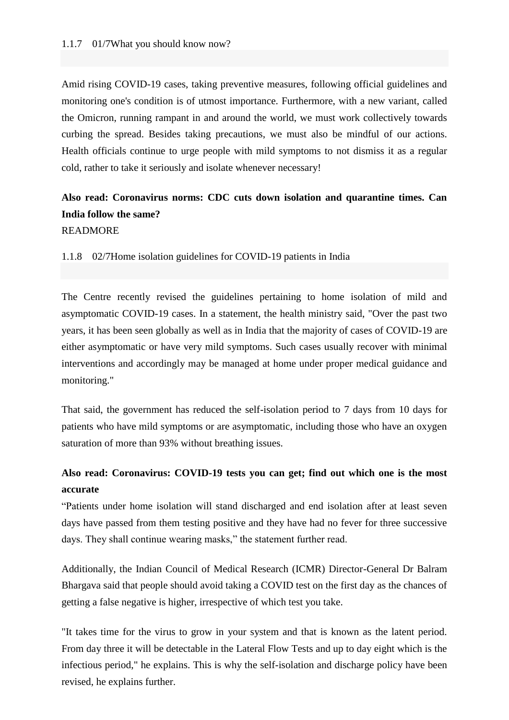Amid rising COVID-19 cases, taking preventive measures, following official guidelines and monitoring one's condition is of utmost importance. Furthermore, with a new variant, called the Omicron, running rampant in and around the world, we must work collectively towards curbing the spread. Besides taking precautions, we must also be mindful of our actions. Health officials continue to urge people with mild symptoms to not dismiss it as a regular cold, rather to take it seriously and isolate whenever necessary!

### **[Also read: Coronavirus norms: CDC cuts down isolation and quarantine times. Can](https://timesofindia.indiatimes.com/life-style/health-fitness/health-news/coronavirus-norms-cdc-cuts-down-isolation-and-quarantine-times-can-india-follow-the-same/photostory/88614073.cms)  [India follow the same?](https://timesofindia.indiatimes.com/life-style/health-fitness/health-news/coronavirus-norms-cdc-cuts-down-isolation-and-quarantine-times-can-india-follow-the-same/photostory/88614073.cms)** [READMORE](javascript://)

1.1.8 02/7Home isolation guidelines for COVID-19 patients in India

The Centre recently revised the guidelines pertaining to home isolation of mild and asymptomatic COVID-19 cases. In a statement, the health ministry said, "Over the past two years, it has been seen globally as well as in India that the majority of cases of COVID-19 are either asymptomatic or have very mild symptoms. Such cases usually recover with minimal interventions and accordingly may be managed at home under proper medical guidance and monitoring."

That said, the government has reduced the self-isolation period to 7 days from 10 days for patients who have mild symptoms or are asymptomatic, including those who have an oxygen saturation of more than 93% without breathing issues.

### **[Also read: Coronavirus: COVID-19 tests you can get; find out which one is the most](https://timesofindia.indiatimes.com/life-style/health-fitness/health-news/coronavirus-test-accuracy-covid-19-tests-you-can-get-find-out-which-one-is-the-most-accurate/photostory/88950534.cms)  [accurate](https://timesofindia.indiatimes.com/life-style/health-fitness/health-news/coronavirus-test-accuracy-covid-19-tests-you-can-get-find-out-which-one-is-the-most-accurate/photostory/88950534.cms)**

"Patients under home isolation will stand discharged and end isolation after at least seven days have passed from them testing positive and they have had no fever for three successive days. They shall continue wearing masks," the statement further read.

Additionally, the Indian Council of Medical Research (ICMR) Director-General Dr Balram Bhargava said that people should avoid taking a COVID test on the first day as the chances of getting a false negative is higher, irrespective of which test you take.

"It takes time for the virus to grow in your system and that is known as the latent period. From day three it will be detectable in the Lateral Flow Tests and up to day eight which is the infectious period," he explains. This is why the self-isolation and discharge policy have been revised, he explains further.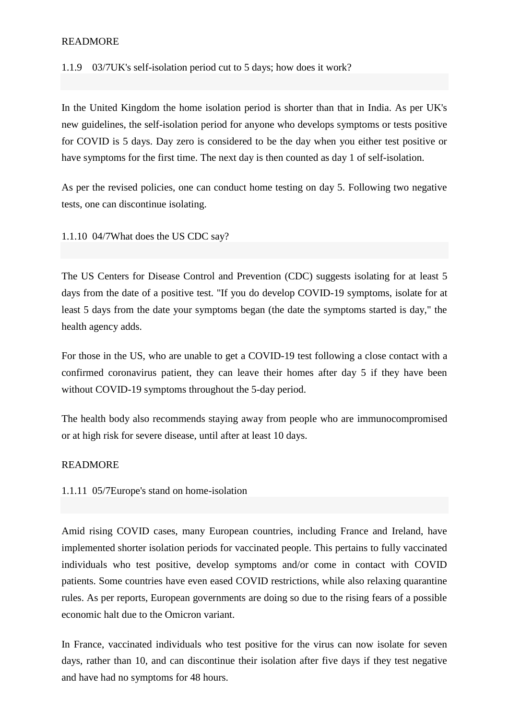#### [READMORE](javascript://)

1.1.9 03/7UK's self-isolation period cut to 5 days; how does it work?

In the United Kingdom the home isolation period is shorter than that in India. As per UK's new guidelines, the self-isolation period for anyone who develops symptoms or tests positive for COVID is 5 days. Day zero is considered to be the day when you either test positive or have symptoms for the first time. The next day is then counted as day 1 of self-isolation.

As per the revised policies, one can conduct home testing on day 5. Following two negative tests, one can discontinue isolating.

1.1.10 04/7What does the US CDC say?

The US Centers for Disease Control and Prevention (CDC) suggests isolating for at least 5 days from the date of a positive test. "If you do develop COVID-19 symptoms, isolate for at least 5 days from the date your symptoms began (the date the symptoms started is day," the health agency adds.

For those in the US, who are unable to get a COVID-19 test following a close contact with a confirmed coronavirus patient, they can leave their homes after day 5 if they have been without COVID-19 symptoms throughout the 5-day period.

The health body also recommends staying away from people who are immunocompromised or at high risk for severe disease, until after at least 10 days.

#### [READMORE](javascript://)

1.1.11 05/7Europe's stand on home-isolation

Amid rising COVID cases, many European countries, including France and Ireland, have implemented shorter isolation periods for vaccinated people. This pertains to fully vaccinated individuals who test positive, develop symptoms and/or come in contact with COVID patients. Some countries have even eased COVID restrictions, while also relaxing quarantine rules. As per reports, European governments are doing so due to the rising fears of a possible economic halt due to the Omicron variant.

In France, vaccinated individuals who test positive for the virus can now isolate for seven days, rather than 10, and can discontinue their isolation after five days if they test negative and have had no symptoms for 48 hours.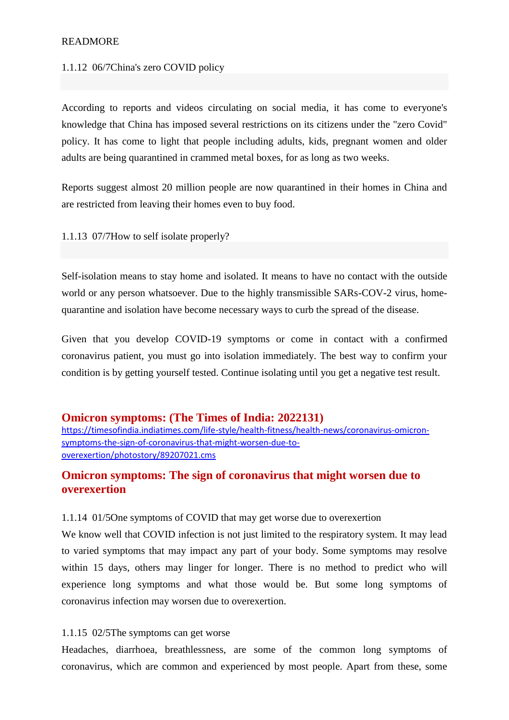#### [READMORE](javascript://)

#### 1.1.12 06/7China's zero COVID policy

According to reports and videos circulating on social media, it has come to everyone's knowledge that China has imposed several restrictions on its citizens under the "zero Covid" policy. It has come to light that people including adults, kids, pregnant women and older adults are being quarantined in crammed metal boxes, for as long as two weeks.

Reports suggest almost 20 million people are now quarantined in their homes in China and are restricted from leaving their homes even to buy food.

1.1.13 07/7How to self isolate properly?

Self-isolation means to stay home and isolated. It means to have no contact with the outside world or any person whatsoever. Due to the highly transmissible SARs-COV-2 virus, homequarantine and isolation have become necessary ways to curb the spread of the disease.

Given that you develop COVID-19 symptoms or come in contact with a confirmed coronavirus patient, you must go into isolation immediately. The best way to confirm your condition is by getting yourself tested. Continue isolating until you get a negative test result.

#### **Omicron symptoms: (The Times of India: 2022131)**

[https://timesofindia.indiatimes.com/life-style/health-fitness/health-news/coronavirus-omicron](https://timesofindia.indiatimes.com/life-style/health-fitness/health-news/coronavirus-omicron-symptoms-the-sign-of-coronavirus-that-might-worsen-due-to-overexertion/photostory/89207021.cms)[symptoms-the-sign-of-coronavirus-that-might-worsen-due-to](https://timesofindia.indiatimes.com/life-style/health-fitness/health-news/coronavirus-omicron-symptoms-the-sign-of-coronavirus-that-might-worsen-due-to-overexertion/photostory/89207021.cms)[overexertion/photostory/89207021.cms](https://timesofindia.indiatimes.com/life-style/health-fitness/health-news/coronavirus-omicron-symptoms-the-sign-of-coronavirus-that-might-worsen-due-to-overexertion/photostory/89207021.cms)

### **Omicron symptoms: The sign of coronavirus that might worsen due to overexertion**

#### 1.1.14 01/5One symptoms of COVID that may get worse due to overexertion

We know well that COVID infection is not just limited to the respiratory system. It may lead to varied symptoms that may impact any part of your body. Some symptoms may resolve within 15 days, others may linger for longer. There is no method to predict who will experience long symptoms and what those would be. But some long symptoms of coronavirus infection may worsen due to overexertion.

#### 1.1.15 02/5The symptoms can get worse

Headaches, diarrhoea, breathlessness, are some of the common long symptoms of coronavirus, which are common and experienced by most people. Apart from these, some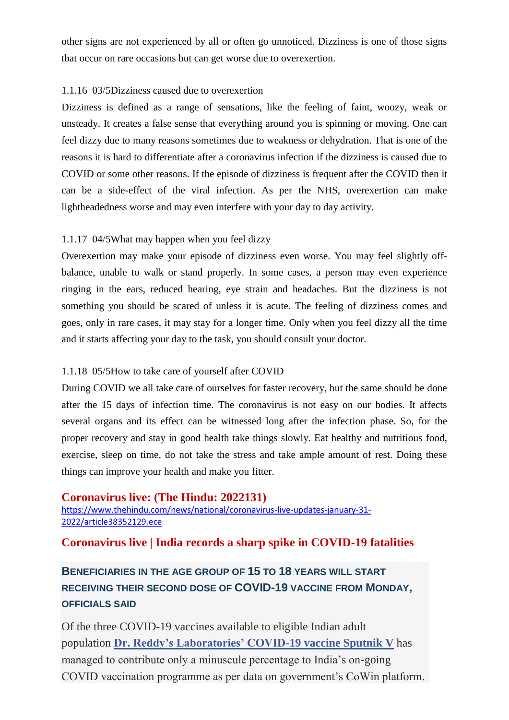other signs are not experienced by all or often go unnoticed. Dizziness is one of those signs that occur on rare occasions but can get worse due to overexertion.

#### 1.1.16 03/5Dizziness caused due to overexertion

Dizziness is defined as a range of sensations, like the feeling of faint, woozy, weak or unsteady. It creates a false sense that everything around you is spinning or moving. One can feel dizzy due to many reasons sometimes due to weakness or dehydration. That is one of the reasons it is hard to differentiate after a coronavirus infection if the dizziness is caused due to COVID or some other reasons. If the episode of dizziness is frequent after the COVID then it can be a side-effect of the viral infection. As per the NHS, overexertion can make lightheadedness worse and may even interfere with your day to day activity.

#### 1.1.17 04/5What may happen when you feel dizzy

Overexertion may make your episode of dizziness even worse. You may feel slightly offbalance, unable to walk or stand properly. In some cases, a person may even experience ringing in the ears, reduced hearing, eye strain and headaches. But the dizziness is not something you should be scared of unless it is acute. The feeling of dizziness comes and goes, only in rare cases, it may stay for a longer time. Only when you feel dizzy all the time and it starts affecting your day to the task, you should consult your doctor.

#### 1.1.18 05/5How to take care of yourself after COVID

During COVID we all take care of ourselves for faster recovery, but the same should be done after the 15 days of infection time. The coronavirus is not easy on our bodies. It affects several organs and its effect can be witnessed long after the infection phase. So, for the proper recovery and stay in good health take things slowly. Eat healthy and nutritious food, exercise, sleep on time, do not take the stress and take ample amount of rest. Doing these things can improve your health and make you fitter.

#### **Coronavirus live: (The Hindu: 2022131)**

[https://www.thehindu.com/news/national/coronavirus-live-updates-january-31-](https://www.thehindu.com/news/national/coronavirus-live-updates-january-31-2022/article38352129.ece) [2022/article38352129.ece](https://www.thehindu.com/news/national/coronavirus-live-updates-january-31-2022/article38352129.ece)

#### **Coronavirus live | India records a sharp spike in COVID-19 fatalities**

### **BENEFICIARIES IN THE AGE GROUP OF 15 TO 18 YEARS WILL START RECEIVING THEIR SECOND DOSE OF COVID-19 VACCINE FROM MONDAY, OFFICIALS SAID**

Of the three COVID-19 vaccines available to eligible Indian adult population **[Dr. Reddy's Laboratories' COVID-19 vaccine Sputnik V](https://www.thehindu.com/news/national/sputnik-light-seeks-nod-for-use-as-booster/article38349886.ece)** has managed to contribute only a minuscule percentage to India's on-going COVID vaccination programme as per data on government's CoWin platform.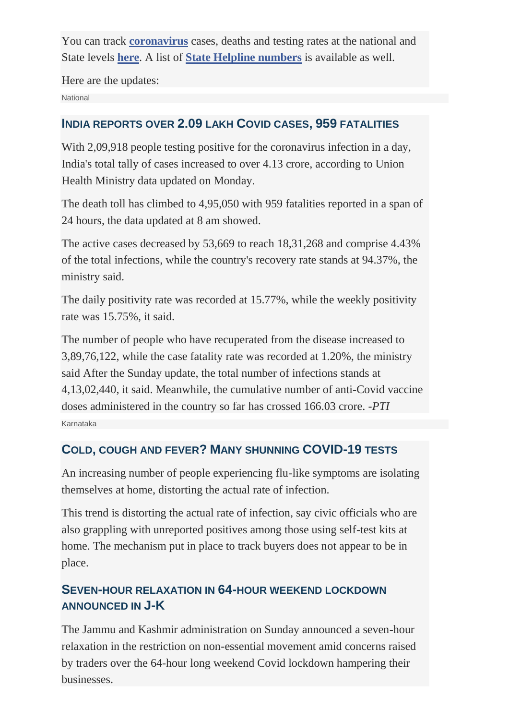You can track **[coronavirus](https://www.thehindu.com/topic/coronavirus/)** cases, deaths and testing rates at the national and State levels **[here](https://www.thehindu.com/coronavirus/)**. A list of **[State Helpline numbers](https://www.thehindu.com/news/resources/coronavirus-state-helpline-numbers-for-covid-19/article31052031.ece)** is available as well.

Here are the updates: **National** 

### **INDIA REPORTS OVER 2.09 LAKH COVID CASES, 959 FATALITIES**

With 2,09,918 people testing positive for the coronavirus infection in a day, India's total tally of cases increased to over 4.13 crore, according to Union Health Ministry data updated on Monday.

The death toll has climbed to 4,95,050 with 959 fatalities reported in a span of 24 hours, the data updated at 8 am showed.

The active cases decreased by 53,669 to reach 18,31,268 and comprise 4.43% of the total infections, while the country's recovery rate stands at 94.37%, the ministry said.

The daily positivity rate was recorded at 15.77%, while the weekly positivity rate was 15.75%, it said.

The number of people who have recuperated from the disease increased to 3,89,76,122, while the case fatality rate was recorded at 1.20%, the ministry said After the Sunday update, the total number of infections stands at 4,13,02,440, it said. Meanwhile, the cumulative number of anti-Covid vaccine doses administered in the country so far has crossed 166.03 crore. *-PTI* Karnataka

### **COLD, COUGH AND FEVER? MANY SHUNNING COVID-19 TESTS**

An increasing number of people experiencing flu-like symptoms are isolating themselves at home, distorting the actual rate of infection.

This trend is distorting the actual rate of infection, say civic officials who are also grappling with unreported positives among those using self-test kits at home. The mechanism put in place to track buyers does not appear to be in place.

### **SEVEN-HOUR RELAXATION IN 64-HOUR WEEKEND LOCKDOWN ANNOUNCED IN J-K**

The Jammu and Kashmir administration on Sunday announced a seven-hour relaxation in the restriction on non-essential movement amid concerns raised by traders over the 64-hour long weekend Covid lockdown hampering their businesses.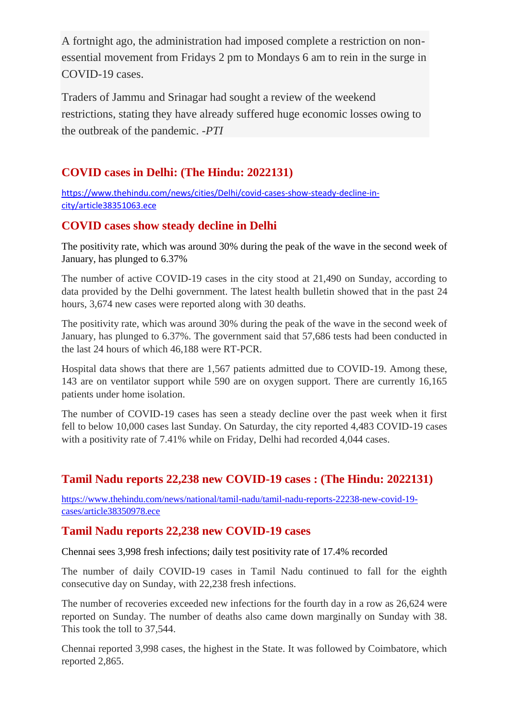A fortnight ago, the administration had imposed complete a restriction on nonessential movement from Fridays 2 pm to Mondays 6 am to rein in the surge in COVID-19 cases.

Traders of Jammu and Srinagar had sought a review of the weekend restrictions, stating they have already suffered huge economic losses owing to the outbreak of the pandemic. *-PTI*

### **COVID cases in Delhi: (The Hindu: 2022131)**

[https://www.thehindu.com/news/cities/Delhi/covid-cases-show-steady-decline-in](https://www.thehindu.com/news/cities/Delhi/covid-cases-show-steady-decline-in-city/article38351063.ece)[city/article38351063.ece](https://www.thehindu.com/news/cities/Delhi/covid-cases-show-steady-decline-in-city/article38351063.ece)

### **COVID cases show steady decline in Delhi**

The positivity rate, which was around 30% during the peak of the wave in the second week of January, has plunged to 6.37%

The number of active COVID-19 cases in the city stood at 21,490 on Sunday, according to data provided by the Delhi government. The latest health bulletin showed that in the past 24 hours, 3,674 new cases were reported along with 30 deaths.

The positivity rate, which was around 30% during the peak of the wave in the second week of January, has plunged to 6.37%. The government said that 57,686 tests had been conducted in the last 24 hours of which 46,188 were RT-PCR.

Hospital data shows that there are 1,567 patients admitted due to COVID-19. Among these, 143 are on ventilator support while 590 are on oxygen support. There are currently 16,165 patients under home isolation.

The number of COVID-19 cases has seen a steady decline over the past week when it first fell to below 10,000 cases last Sunday. On Saturday, the city reported 4,483 COVID-19 cases with a positivity rate of 7.41% while on Friday, Delhi had recorded 4,044 cases.

### **Tamil Nadu reports 22,238 new COVID-19 cases : (The Hindu: 2022131)**

[https://www.thehindu.com/news/national/tamil-nadu/tamil-nadu-reports-22238-new-covid-19](https://www.thehindu.com/news/national/tamil-nadu/tamil-nadu-reports-22238-new-covid-19-cases/article38350978.ece) [cases/article38350978.ece](https://www.thehindu.com/news/national/tamil-nadu/tamil-nadu-reports-22238-new-covid-19-cases/article38350978.ece)

### **Tamil Nadu reports 22,238 new COVID-19 cases**

Chennai sees 3,998 fresh infections; daily test positivity rate of 17.4% recorded

The number of daily COVID-19 cases in Tamil Nadu continued to fall for the eighth consecutive day on Sunday, with 22,238 fresh infections.

The number of recoveries exceeded new infections for the fourth day in a row as 26,624 were reported on Sunday. The number of deaths also came down marginally on Sunday with 38. This took the toll to 37,544.

Chennai reported 3,998 cases, the highest in the State. It was followed by Coimbatore, which reported 2,865.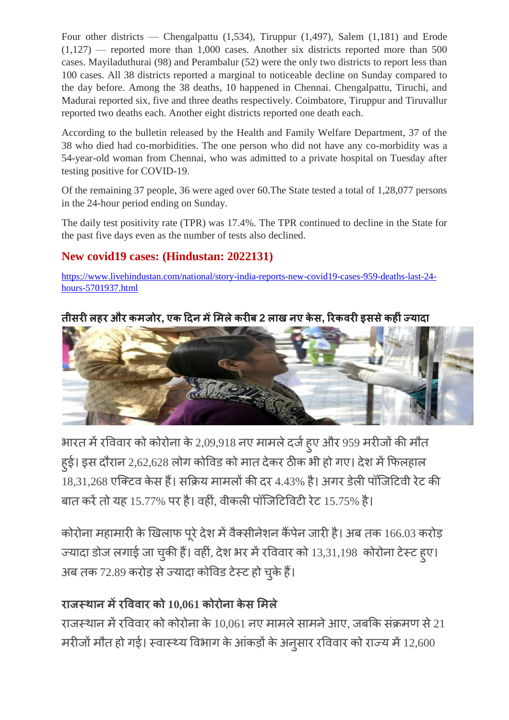Four other districts — Chengalpattu (1,534), Tiruppur (1,497), Salem (1,181) and Erode  $(1,127)$  — reported more than 1,000 cases. Another six districts reported more than 500 cases. Mayiladuthurai (98) and Perambalur (52) were the only two districts to report less than 100 cases. All 38 districts reported a marginal to noticeable decline on Sunday compared to the day before. Among the 38 deaths, 10 happened in Chennai. Chengalpattu, Tiruchi, and Madurai reported six, five and three deaths respectively. Coimbatore, Tiruppur and Tiruvallur reported two deaths each. Another eight districts reported one death each.

According to the bulletin released by the Health and Family Welfare Department, 37 of the 38 who died had co-morbidities. The one person who did not have any co-morbidity was a 54-year-old woman from Chennai, who was admitted to a private hospital on Tuesday after testing positive for COVID-19.

Of the remaining 37 people, 36 were aged over 60.The State tested a total of 1,28,077 persons in the 24-hour period ending on Sunday.

The daily test positivity rate (TPR) was 17.4%. The TPR continued to decline in the State for the past five days even as the number of tests also declined.

### **New covid19 cases: (Hindustan: 2022131)**

[https://www.livehindustan.com/national/story-india-reports-new-covid19-cases-959-deaths-last-24](https://www.livehindustan.com/national/story-india-reports-new-covid19-cases-959-deaths-last-24-hours-5701937.html) [hours-5701937.html](https://www.livehindustan.com/national/story-india-reports-new-covid19-cases-959-deaths-last-24-hours-5701937.html)

### **लह औ , ए ल 2 ल ए , ह**



भारत में रविवार को कोरोना के 2,09,918 नए मामले दर्ज हुए और 959 ह्ई। इस दौरान 2,62,628 लोग कोविड को मात देकर ठीक भी हो गए। देश में फिलहाल ँ<br>18.31.268 एक्टिव केस हैं। सक्रिय मामलों की दर 4.43% है। अगर डेली पॉजिटिवी रेट की बात करें तो यह 15.77% पर है। वहीं, वीकली पॉजिटिविटी रेट 15.75% है।

कोरोना महामारी के खिलाफ पूरे देश में वैक्सीनेशन कैंपेन जारी है। अब तक 166.03 ज्यादा डोज लगाई जा चुकी हैं। वहीं, देश भर में रविवार को 13,31,198 कोरोना टेस्ट ह्ए। अब तक 72.89 करोड़ से ज्यादा कोविड टेस्ट हो चुके

### **10,061 ल**

राजस्थान में रविवार को कोरोना के 10,061 नए मामले सामने आए, जबकि संक्रमण से 21 मरीजो मौत हो गई। स्वास्थ्य विभाग के आंकड़ों के अनुसार रविवार को राज्य में 12,600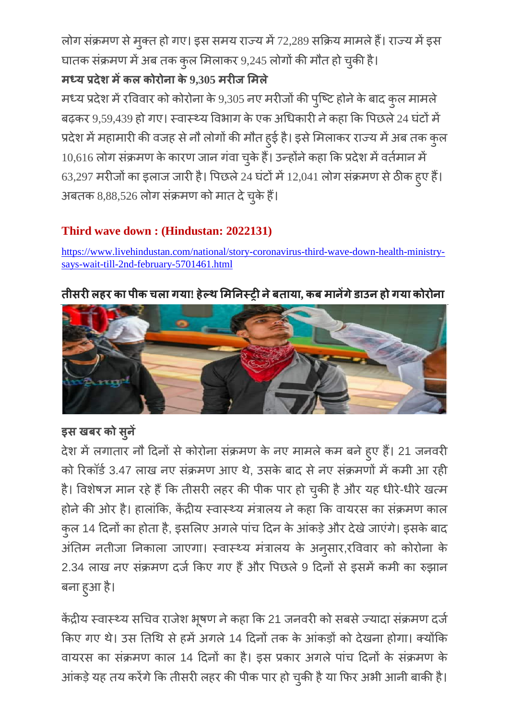लोग संक्रमण से मुक्त हो गए। इस समय राज्य में 72,289 सक्रिय मामले हैं। राज्य में इस घातक संक्रमण में अब तक कुल मिलाकर 9,245 लोगों की मौत हो चुकी

# **ल 9,305 ल**

मध्य प्रदेश में रविवार को कोरोना के 9,305 नए मरीजों की पुष्टि होने के बाद कुल बढ़कर 9,59,439 हो गए। स्वास्थ्य विभाग के एक अधिकारी ने कहा कि पिछले 24 घंटों में प्रदेश में महामारी की वजह से नौ लोगों की मौत हुई है। इसे मिलाकर राज्य में अब तक कुल 10,616 लोग संक्रमण के कारण जान गंवा चुके 63,297 मरीजों का इलाज जारी है। पिछले 24 घंटों में 12,041 लोग संक्रमण से ठीक हुए हैं अबतक 8,88,526 लोग संक्रमण को मात दे चुके

# **Third wave down : (Hindustan: 2022131)**

[https://www.livehindustan.com/national/story-coronavirus-third-wave-down-health-ministry](https://www.livehindustan.com/national/story-coronavirus-third-wave-down-health-ministry-says-wait-till-2nd-february-5701461.html)[says-wait-till-2nd-february-5701461.html](https://www.livehindustan.com/national/story-coronavirus-third-wave-down-health-ministry-says-wait-till-2nd-february-5701461.html)

# **लह ल ! ह , ह**



# इस खबर को सुने

देश में लगातार नौ दिनों से कोरोना संक्रमण के नए मामले कम बने हुए हैं। 21 को रिकॉर्ड 3.47 लाख नए संक्रमण आए थे, उसके बाद से नए संक्रमणों में कमी आ रही है। विशेषज्ञ मान रहे हैं कि तीसरी लहर की पीक पार हो चुकी है और यह धीरे-र्ध होने की ओर है। हालांकि, केंद्रीय स्वास्थ्य मंत्रालय ने कहा कि वायरस का संक्रमण काल कुल 14 दिनों का होता है, इसलिए अगले पांच दिन के आंकड़े और देखे जाएंगे। इसके अंतिम नतीजा निकाला जाएगा। स्वास्थ्य मंत्रालय के अनुसार,र 2.34 लाख नए संक्रमण दर्ज किए गए हैं और पिछले 9 दिनों से इसमें कमी का रुझान बना हुआ है

केंद्रीय स्वास्थ्य सचिव राजेश भूषण ने कहा कि 21 जनवरी को सबसे ज्यादा सं किए गए थे। उस तिथि से हमें अगले 14 दिनों तक के आंकड़ों को देखना होगा। क्योंकि वायरस का संक्रमण काल 14 दिनों का है। इस प्रकार अगले पांच दिनों के संक्रमण के आकड़े यह तय करेंगे कि तीसरी लहर की पीक पार हो चुकी है या फिर अभी आने